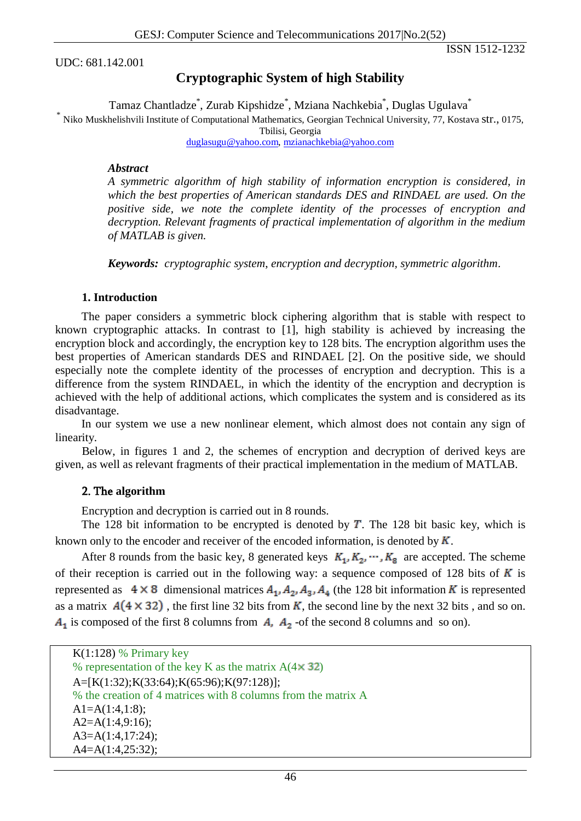UDC: 681.142.001

ISSN 1512-1232

# **Cryptographic System of high Stability**

Tamaz Chantladze\* , Zurab Kipshidze\* , Mziana Nachkebia\* , Duglas Ugulava\*

\* Niko Muskhelishvili Institute of Computational Mathematics, Georgian Technical University, 77, Kostava str., 0175,

Tbilisi, Georgia [duglasugu@yahoo.com,](mailto:duglasugu@yahoo.com) [mzianachkebia@yahoo.com](mailto:mzianachkebia@yahoo.com)

#### *Abstract*

*A symmetric algorithm of high stability of information encryption is considered, in which the best properties of American standards DES and RINDAEL are used. On the positive side, we note the complete identity of the processes of encryption and decryption. Relevant fragments of practical implementation of algorithm in the medium of MATLAB is given.*

*Keywords: cryptographic system*, *encryption and decryption, symmetric algorithm*.

#### **1. Introduction**

The paper considers a symmetric block ciphering algorithm that is stable with respect to known cryptographic attacks. In contrast to [1], high stability is achieved by increasing the encryption block and accordingly, the encryption key to 128 bits. The encryption algorithm uses the best properties of American standards DES and RINDAEL [2]. On the positive side, we should especially note the complete identity of the processes of encryption and decryption. This is a difference from the system RINDAEL, in which the identity of the encryption and decryption is achieved with the help of additional actions, which complicates the system and is considered as its disadvantage.

In our system we use a new nonlinear element, which almost does not contain any sign of linearity.

Below, in figures 1 and 2, the schemes of encryption and decryption of derived keys are given, as well as relevant fragments of their practical implementation in the medium of MATLAB.

### 2. The **algorithm**

Encryption and decryption is carried out in 8 rounds.

The 128 bit information to be encrypted is denoted by  $T$ . The 128 bit basic key, which is known only to the encoder and receiver of the encoded information, is denoted by  $K$ .

After 8 rounds from the basic key, 8 generated keys  $K_1, K_2, \cdots, K_8$  are accepted. The scheme of their reception is carried out in the following way: a sequence composed of 128 bits of  $K$  is represented as  $4 \times 8$  dimensional matrices  $A_1, A_2, A_3, A_4$  (the 128 bit information K is represented as a matrix  $A(4 \times 32)$ , the first line 32 bits from K, the second line by the next 32 bits, and so on.  $A_1$  is composed of the first 8 columns from  $A_1$ ,  $A_2$  -of the second 8 columns and so on).

| $K(1:128)$ % Primary key                                      |
|---------------------------------------------------------------|
| % representation of the key K as the matrix $A(4 \times 32)$  |
| $A=[K(1:32); K(33:64); K(65:96); K(97:128)];$                 |
| % the creation of 4 matrices with 8 columns from the matrix A |
| $A1=A(1:4,1:8);$                                              |
| $A2=A(1:4,9:16);$                                             |
| $A3=A(1:4,17:24);$                                            |
| $A4=A(1:4,25:32);$                                            |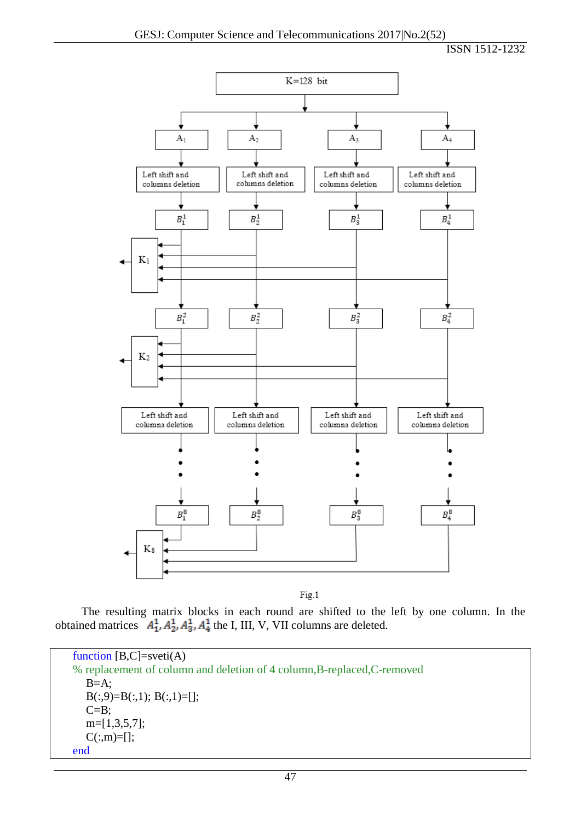## ISSN 1512-1232



Fig.1

The resulting matrix blocks in each round are shifted to the left by one column. In the obtained matrices  $A_1^1, A_2^1, A_3^1, A_4^1$  the I, III, V, VII columns are deleted.

function  $[B,C]=vert(A)$ % replacement of column and deletion of 4 column,B-replaced,C-removed  $B=A$ ;  $B(:,9)=B(:,1); B(:,1)=[];$  $C=B;$ m=[1,3,5,7];  $C(:,m)=[];$ end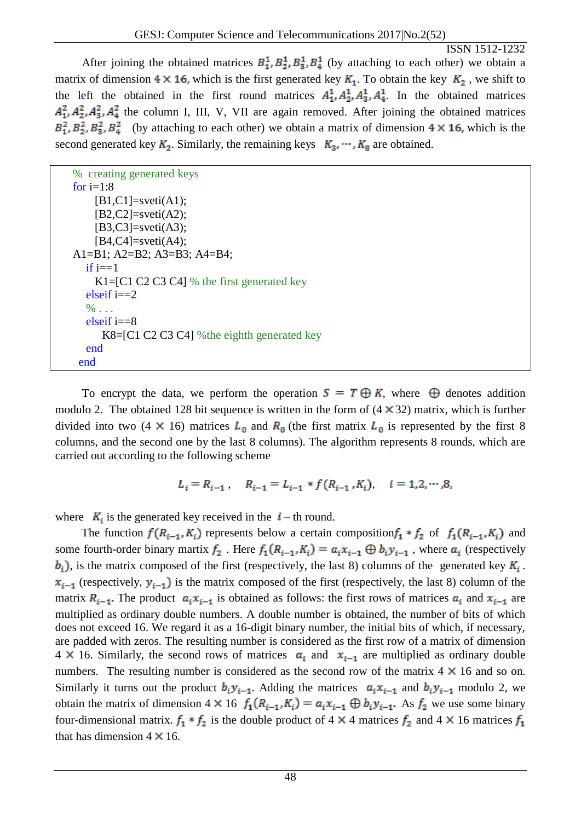ISSN 1512-1232

After joining the obtained matrices  $B_1^1, B_2^1, B_3^1, B_4^1$  (by attaching to each other) we obtain a matrix of dimension  $4 \times 16$ , which is the first generated key  $K_1$ . To obtain the key  $K_2$ , we shift to the left the obtained in the first round matrices  $A_1^1, A_2^1, A_3^1, A_4^1$ . In the obtained matrices  $A_1^2, A_2^2, A_3^2, A_4^2$  the column I, III, V, VII are again removed. After joining the obtained matrices  $B_1^2, B_2^2, B_3^2, B_4^2$  (by attaching to each other) we obtain a matrix of dimension  $4 \times 16$ , which is the second generated key  $K_2$ . Similarly, the remaining keys  $K_3, \dots, K_8$  are obtained.

| % creating generated keys                       |
|-------------------------------------------------|
| for $i=1:8$                                     |
| $[B1, C1] = sveti(A1);$                         |
| $[B2,C2] = sveti(A2);$                          |
| $[B3,C3] = sveti(A3);$                          |
| $[B4, C4] = sveti(A4);$                         |
| A1=B1; A2=B2; A3=B3; A4=B4;                     |
| if $i == 1$                                     |
| K1= $[C1 C2 C3 C4]$ % the first generated key   |
| elseif $i == 2$                                 |
| $\%$                                            |
| elseif $i = = 8$                                |
| $K8 = [C1 C2 C3 C4]$ % the eighth generated key |
| end                                             |
| end                                             |
|                                                 |

To encrypt the data, we perform the operation  $S = T \oplus K$ , where  $\oplus$  denotes addition modulo 2. The obtained 128 bit sequence is written in the form of  $(4 \times 32)$  matrix, which is further divided into two (4  $\times$  16) matrices  $L_0$  and  $R_0$  (the first matrix  $L_0$  is represented by the first 8 columns, and the second one by the last 8 columns). The algorithm represents 8 rounds, which are carried out according to the following scheme

$$
L_i = R_{i-1}, \quad R_{i-1} = L_{i-1} * f(R_{i-1}, K_i), \quad i = 1, 2, \cdots, 8,
$$

where  $K_i$  is the generated key received in the  $i$  – th round.

The function  $f(R_{i-1}, K_i)$  represents below a certain composition  $f_1 * f_2$  of  $f_1(R_{i-1}, K_i)$  and some fourth-order binary martix  $f_2$ . Here  $f_1(R_{i-1}, K_i) = a_i x_{i-1} \oplus b_i y_{i-1}$ , where  $a_i$  (respectively  $b_i$ ), is the matrix composed of the first (respectively, the last 8) columns of the generated key  $K_i$ .  $x_{i-1}$  (respectively,  $y_{i-1}$ ) is the matrix composed of the first (respectively, the last 8) column of the matrix  $R_{i-1}$ . The product  $a_i x_{i-1}$  is obtained as follows: the first rows of matrices  $a_i$  and  $x_{i-1}$  are multiplied as ordinary double numbers. A double number is obtained, the number of bits of which does not exceed 16. We regard it as a 16-digit binary number, the initial bits of which, if necessary, are padded with zeros. The resulting number is considered as the first row of a matrix of dimension 4  $\times$  16. Similarly, the second rows of matrices  $a_i$  and  $x_{i-1}$  are multiplied as ordinary double numbers. The resulting number is considered as the second row of the matrix  $4 \times 16$  and so on. Similarly it turns out the product  $b_i y_{i-1}$ . Adding the matrices  $a_i x_{i-1}$  and  $b_i y_{i-1}$  modulo 2, we obtain the matrix of dimension  $4 \times 16$   $f_1(R_{i-1}, K_i) = a_i x_{i-1} \oplus b_i y_{i-1}$ . As  $f_2$  we use some binary four-dimensional matrix.  $f_1 * f_2$  is the double product of 4  $\times$  4 matrices  $f_2$  and 4  $\times$  16 matrices  $f_1$ that has dimension  $4 \times 16$ .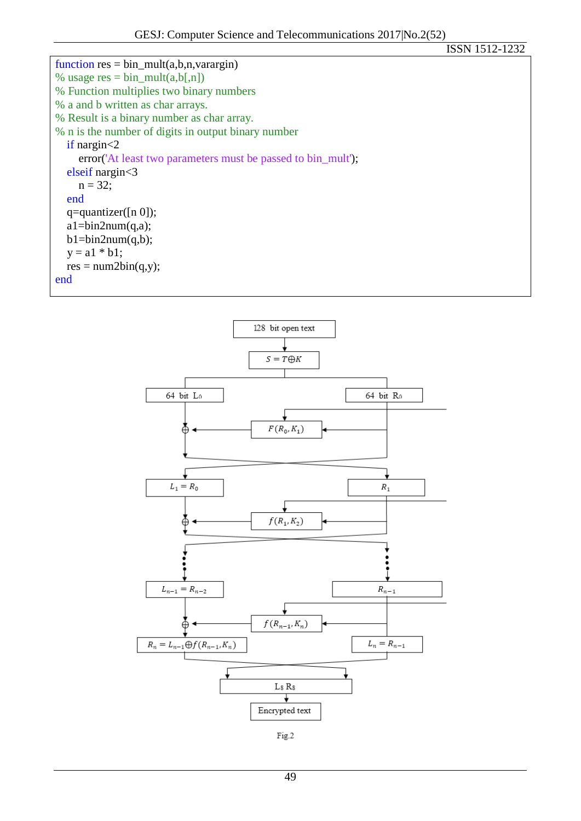ISSN 1512-1232 function  $res = bin\_mult(a,b,n,varargin)$ % usage  $res = bin\_mult(a,b[,n])$ % Function multiplies two binary numbers % a and b written as char arrays. % Result is a binary number as char array. % n is the number of digits in output binary number if nargin<2 error('At least two parameters must be passed to bin\_mult'); elseif nargin<3  $n = 32;$  end q=quantizer([n 0]);  $a1 = bin2num(q,a);$  $b1 = bin2num(q,b);$  $y = a1 * b1;$  $res = num2bin(q,y);$ end



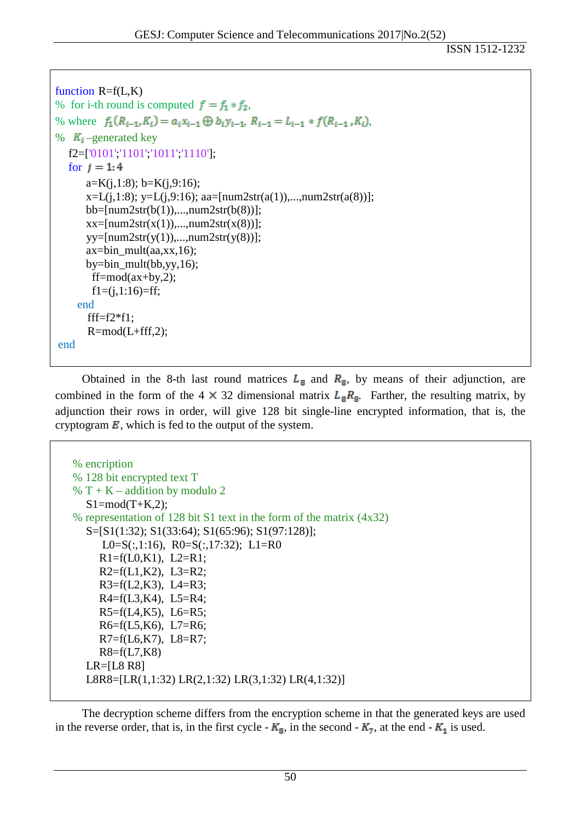```
function R=f(L,K)% for i-th round is computed f = f_1 * f_2,
% where f_1(R_{i-1}, K_i) = a_i x_{i-1} \oplus b_i y_{i-1}, R_{i-1} = L_{i-1} * f(R_{i-1}, K_i),
% K_{\tilde{i}} –generated key
  f2=['0101';'1101';'1011';'1110'];
  for i = 1:4a=K(j,1:8); b=K(j,9:16);x=L(j,1:8); y=L(j,9:16); aa=[num2str(a(1)),...,num2str(a(8))]; bb=[num2str(b(1)),...,num2str(b(8))]; 
      xx=[num2str(x(1)),...,num2str(x(8))];yy=[num2str(y(1)),...,num2str(y(8))]; ax=bin_mult(aa,xx,16);
      by = bin\_mult(bb, yy, 16);ff = mod(ax+by,2);f1=(j,1:16)=ff; end
       ff=f2*f1;R=mod(L+fft,2);end
```
Obtained in the 8-th last round matrices  $L_{\rm g}$  and  $R_{\rm g}$ , by means of their adjunction, are combined in the form of the 4  $\times$  32 dimensional matrix  $L_{\rm g}R_{\rm g}$ . Farther, the resulting matrix, by adjunction their rows in order, will give 128 bit single-line encrypted information, that is, the cryptogram  $\mathbf{E}$ , which is fed to the output of the system.

```
% encription
% 128 bit encrypted text T 
% T + K - addition by modulo 2
  S1 = mod(T+K,2);% representation of 128 bit S1 text in the form of the matrix (4x32) 
  S=[S1(1:32); S1(33:64); S1(65:96); S1(97:128)];
     L0=S(:,1:16), R0=S(:,17:32); L1=R0
     R1=f(L0,K1), L2=R1;R2=f(L1,K2), L3=R2;R3=f(L2,K3), L4=R3;
     R4=f(L3,K4), L5=R4;
     R5=f(L4,K5), L6=R5;
     R6=f(L5,K6), L7=R6;
     R7=f(L6,K7), L8=R7;
     R8=f(L7,K8)LR=[L8 R8]
  L8R8=[LR(1,1:32) LR(2,1:32) LR(3,1:32) LR(4,1:32)]
```
The decryption scheme differs from the encryption scheme in that the generated keys are used in the reverse order, that is, in the first cycle -  $K_{\rm g}$ , in the second -  $K_{\rm g}$ , at the end -  $K_{\rm 1}$  is used.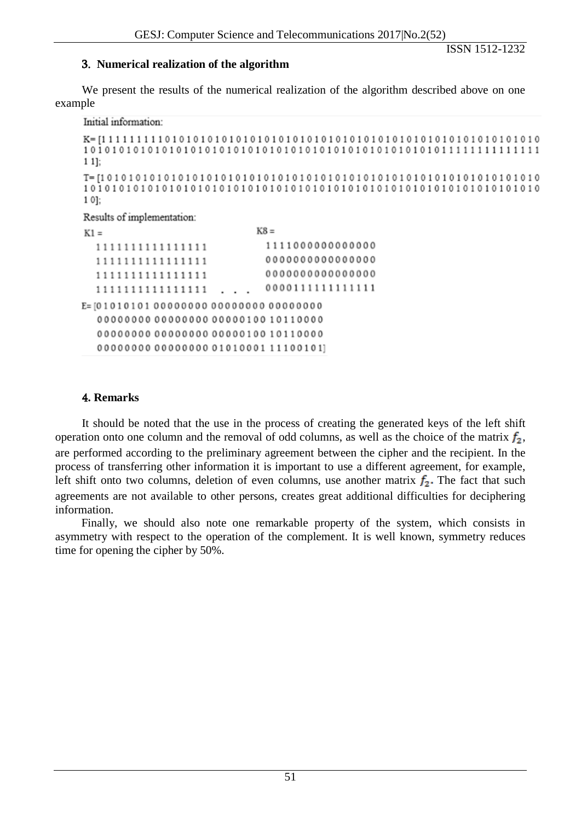ISSN 1512-1232

## 3. **Numerical realization of the algorithm**

We present the results of the numerical realization of the algorithm described above on one example

Initial information:

```
1 1];
T = [1\ 0\ 1\ 0\ 1\ 0\ 1\ 0\ 1\ 0\ 1\ 0\ 1\ 0\ 1\ 0\ 1\ 0\ 1\ 0\ 1\ 0\ 1\ 0\ 1\ 0\ 1\ 0\ 1\ 0\ 1\ 0\ 1\ 0\ 1\ 0\ 1\ 0\ 1\ 0\ 1\ 0\ 1\ 0\ 1\ 0\ 1\ 0\ 1\ 0\ 1\ 0\ 1\ 0\ 1\ 0\ 1\ 0\ 1\ 0\ 1\ 0\ 1\ 0\ 1\ 0\ 1\ 0\ 1\ 0\ 1\ 0\ 1
```

```
10:
```
Results of implementation:

| $K1 =$ |  |  |  |  |  |  |  |  |                  |  |  |  |  |  | $K8 =$ |                                   |  |  |  |  |  |  |  |  |  |  |  |  |  |  |  |  |  |                  |  |  |
|--------|--|--|--|--|--|--|--|--|------------------|--|--|--|--|--|--------|-----------------------------------|--|--|--|--|--|--|--|--|--|--|--|--|--|--|--|--|--|------------------|--|--|
|        |  |  |  |  |  |  |  |  | 1111111111111111 |  |  |  |  |  |        |                                   |  |  |  |  |  |  |  |  |  |  |  |  |  |  |  |  |  | 1111000000000000 |  |  |
|        |  |  |  |  |  |  |  |  | 111111111111111  |  |  |  |  |  |        |                                   |  |  |  |  |  |  |  |  |  |  |  |  |  |  |  |  |  | 0000000000000000 |  |  |
|        |  |  |  |  |  |  |  |  | 1111111111111111 |  |  |  |  |  |        |                                   |  |  |  |  |  |  |  |  |  |  |  |  |  |  |  |  |  | 0000000000000000 |  |  |
|        |  |  |  |  |  |  |  |  | 1111111111111111 |  |  |  |  |  |        |                                   |  |  |  |  |  |  |  |  |  |  |  |  |  |  |  |  |  | 0000111111111111 |  |  |
|        |  |  |  |  |  |  |  |  |                  |  |  |  |  |  |        |                                   |  |  |  |  |  |  |  |  |  |  |  |  |  |  |  |  |  |                  |  |  |
|        |  |  |  |  |  |  |  |  |                  |  |  |  |  |  |        |                                   |  |  |  |  |  |  |  |  |  |  |  |  |  |  |  |  |  |                  |  |  |
|        |  |  |  |  |  |  |  |  |                  |  |  |  |  |  |        |                                   |  |  |  |  |  |  |  |  |  |  |  |  |  |  |  |  |  |                  |  |  |
|        |  |  |  |  |  |  |  |  |                  |  |  |  |  |  |        | 00000000000000000101000111100101] |  |  |  |  |  |  |  |  |  |  |  |  |  |  |  |  |  |                  |  |  |
|        |  |  |  |  |  |  |  |  |                  |  |  |  |  |  |        |                                   |  |  |  |  |  |  |  |  |  |  |  |  |  |  |  |  |  |                  |  |  |

## 4**. Remarks**

It should be noted that the use in the process of creating the generated keys of the left shift operation onto one column and the removal of odd columns, as well as the choice of the matrix  $f_2$ , are performed according to the preliminary agreement between the cipher and the recipient. In the process of transferring other information it is important to use a different agreement, for example, left shift onto two columns, deletion of even columns, use another matrix  $f_2$ . The fact that such agreements are not available to other persons, creates great additional difficulties for deciphering information.

Finally, we should also note one remarkable property of the system, which consists in asymmetry with respect to the operation of the complement. It is well known, symmetry reduces time for opening the cipher by 50%.